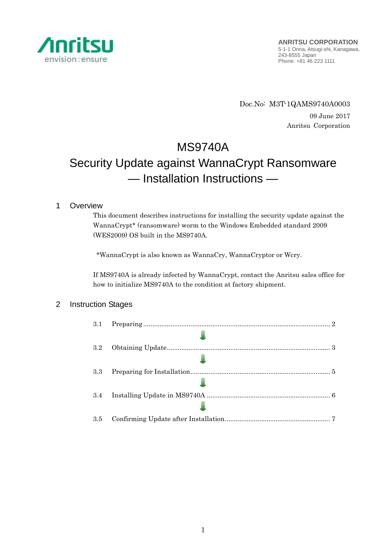

Doc.No: M3T-1QAMS9740A0003 09 June 2017 Anritsu Corporation

# MS9740A Security Update against WannaCrypt Ransomware — Installation Instructions —

# 1 Overview

This document describes instructions for installing the security update against the WannaCrypt\* (ransomware) worm to the Windows Embedded standard 2009 (WES2009) OS built in the MS9740A.

\*WannaCrypt is also known as WannaCry, WannaCryptor or Wcry.

If MS9740A is already infected by WannaCrypt, contact the Anritsu sales office for how to initialize MS9740A to the condition at factory shipment.

# 2 Instruction Stages

| 3.1 |  |
|-----|--|
|     |  |
| 3.2 |  |
|     |  |
| 3.3 |  |
|     |  |
| 3.4 |  |
|     |  |
| 3.5 |  |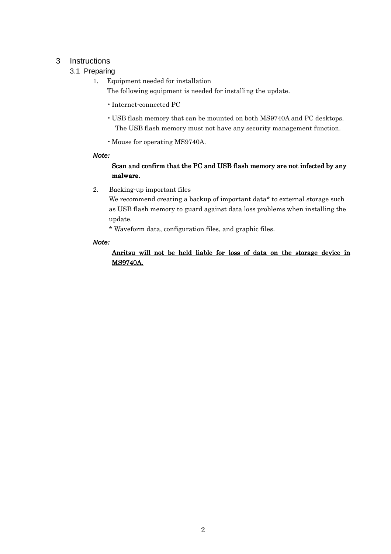# 3 Instructions

# 3.1 Preparing

- 1. Equipment needed for installation The following equipment is needed for installing the update.
	- •Internet-connected PC
	- USB flash memory that can be mounted on both MS9740A and PC desktops. The USB flash memory must not have any security management function.
	- •Mouse for operating MS9740A.

### **Note:**

# Scan and confirm that the PC and USB flash memory are not infected by any malware.

2. Backing-up important files

We recommend creating a backup of important data\* to external storage such as USB flash memory to guard against data loss problems when installing the update.

\* Waveform data, configuration files, and graphic files.

### **Note:**

# Anritsu will not be held liable for loss of data on the storage device in **MS9740A.**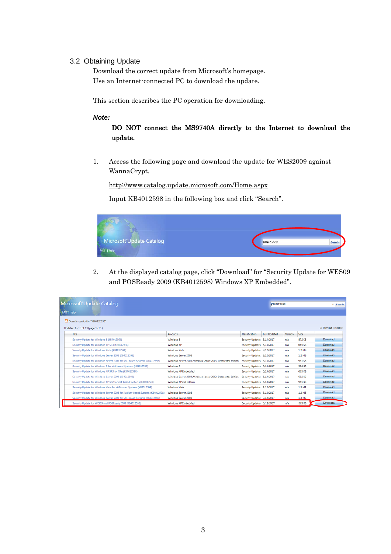### 3.2 Obtaining Update

Download the correct update from Microsoft's homepage. Use an Internet-connected PC to download the update.

This section describes the PC operation for downloading.

#### **Note:**

# DO NOT connect the MS9740A directly to the Internet to download the update.

1. Access the following page and download the update for WES2009 against WannaCrypt.

http://www.catalog.update.microsoft.com/Home.aspx

Input KB4012598 in the following box and click "Search".



2. At the displayed catalog page, click "Download" for "Security Update for WES09 and POSReady 2009 (KB4012598) Windows XP Embedded".

| Microsoft Update Catalog<br>FAQ <sup>-1</sup> help |                                                                                 |                                                              |                            |                     | KB:012698<br>× Search |        |                       |  |
|----------------------------------------------------|---------------------------------------------------------------------------------|--------------------------------------------------------------|----------------------------|---------------------|-----------------------|--------|-----------------------|--|
|                                                    | <b>EM Scarch results for "KB4012593"</b><br>Updates: 1 - 13 of 13 (pace 1 of 1) |                                                              |                            |                     |                       |        | © Previous   Next (€) |  |
|                                                    | <b>Title</b>                                                                    | <b>Products</b>                                              | Classification             | <b>Last Undated</b> | Version               | Size   |                       |  |
|                                                    | Security Update for Windows 8 (KB4012598)                                       | Windows 8                                                    | Security Updates 5/13/2017 |                     | nia                   | 872 KB | Dewnload              |  |
|                                                    | Security Update for Windows XP SP3 (KB4012598)                                  | <b>Windows XP</b>                                            | Security Updates 5/13/2017 |                     | min                   | 665 CB | Dewnload              |  |
|                                                    | Security Update for Windows Vista (K84012598)                                   | <b>Windows Vista</b>                                         | Security Updates 3/12/2017 |                     | <b>FUZ</b>            | 1.2 MB | Elewnicad             |  |
|                                                    | Security Update for Windows Server 2008 (KB4012598)                             | Windows Server 2008                                          | Security Updates 3/12/2017 |                     | mia                   | 1.2 MB | Dewnicad              |  |
|                                                    | Security Update for Windows Server 2003 for x64-based Systems (K84012598)       | Windows Server 2003. Windows Server 2003. Datacenter Edition | Security Updates 5/13/2017 |                     | ma                    | 951 KB | <b>Download</b>       |  |
|                                                    | Sexurity Update for Windows 8 for x64-based Systems (K84012598)                 | Windows 8                                                    | Security Updates 3/13/2017 |                     | <b>rule</b>           | 984 KB | Download              |  |
|                                                    | Security Update for Windows XP SP3 for XFe (KB4012598).                         | Windows XP Embedded                                          | Security Updates 5/13/2017 |                     | <b>mia</b>            | 665 KB | Dewnload              |  |
|                                                    | Security Update for Windows Server 2003 (KB4012598)                             | Windows Server 2003.Windows Server 2003. Detectator Edition. | Security Updates 5/13/2017 |                     | mio                   | 682.KB | Dewnload              |  |
|                                                    | Security Update for Windows XP SP2 for x64-based Systems (K34012598)            | Windows XP x64 Edition                                       | Security Updates 5/13/2017 |                     | <b>PUS</b>            | 951 KB | Dewnload              |  |
|                                                    | Security Update for Windows Vista for x64-based Systems (XR4012598)             | <b>Windows Vida</b>                                          | Security Undates 3/12/2017 |                     | <b>PUS</b>            | 1.3 MR | <b>Deveningd</b>      |  |
|                                                    | Security Update for Windows Server 2008 for Itanium-based Systems (KB4012598)   | Windows Server 2008                                          | Security Updates 3/12/2017 |                     | min                   | 1.2 MR | Download              |  |
|                                                    | Security Update for Windows Server 2008 for x64-based Systems (K84012598)       | Windows Server 2008                                          | Security Updates 3/12/2017 |                     | na.                   | 1.3 MB | Download              |  |
|                                                    | Security Update for WES09 and POSReady 2009 (KB4012598)                         | Windows XP Embedded                                          | Security Updates 3/12/2017 |                     | n/a                   | 665 KB | Download              |  |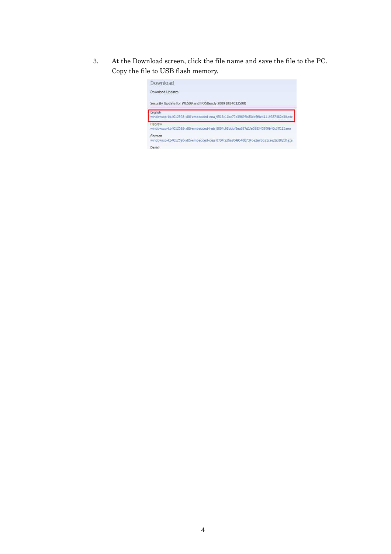3. At the Download screen, click the file name and save the file to the PC. Copy the file to USB flash memory.

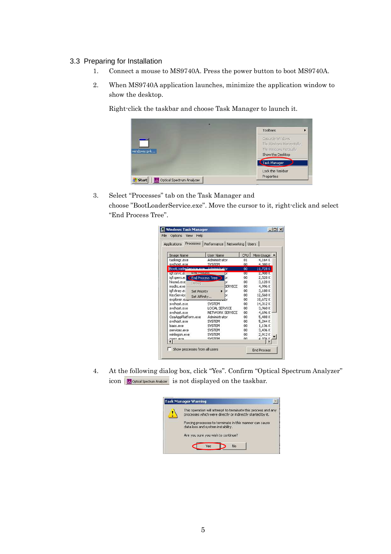### 3.3 Preparing for Installation

- 1. Connect a mouse to MS9740A. Press the power button to boot MS9740A.
- 2. When MS9740A application launches, minimize the application window to show the desktop.

Right-click the taskbar and choose Task Manager to launch it.



3. Select "Processes" tab on the Task Manager and choose "BootLoaderService.exe". Move the cursor to it, right-click and select "End Process Tree".

| Processes<br>Applications          | Performance Networking   Users |        |             |
|------------------------------------|--------------------------------|--------|-------------|
| <b>Image Name</b>                  | <b>User Name</b>               | CPU    | Mem Usage   |
| taskmgr.exe                        | Administrator                  | 01     | 4,164K      |
| sychost.exe                        | <b>SYSTEM</b>                  | nn     | 4.380K      |
| BootLoaderService eve              | Administrator                  | 00     | 11,728K     |
| <b>LITU Process</b><br>ightsrvc.et | br                             | OΟ     | 2,908 K     |
| igfxpers.e:                        | <b>CEnd Process Tree</b><br>br | 00     | 2,528K      |
| hkcmd.exe<br>Debug                 | br                             | OO.    | 3.128K      |
| msdtc.exe                          | <b>SERVICE</b>                 | 00     | 4,996K      |
| igfxtray.e:<br><b>Set Priority</b> | br                             | 00     | 3,188K      |
| KeyService<br>Set Affinity.        | br                             | 00     | 12,568 K    |
| explorer.e                         |                                | 00     | 18,672K     |
| sychost.exe                        | <b>SYSTEM</b>                  | m      | 14,312K     |
| sychost.exe                        | LOCAL SERVICE                  | $00 -$ | 3.960K      |
| sychost.exe                        | NETWORK SERVICE                | 00     | 4,696K      |
| OsaAppPlatform.exe                 | Administrator                  | 00     | 5,488K      |
| sychost.exe                        | <b>SYSTEM</b>                  | 00     | 5,244K      |
| sass.exe                           | <b>SYSTEM</b>                  | 00     | 1.136K      |
| services.exe                       | <b>SYSTEM</b>                  | 00     | 3,436K      |
| winlogon.exe                       | <b>SYSTEM</b>                  | m      | 2,912K      |
| rrree ava                          | CVCTEM                         | nn     | 4.076V<br>× |

4. At the following dialog box, click "Yes". Confirm "Optical Spectrum Analyzer" icon **N** Optical Spectrum Analyzer is not displayed on the taskbar.

| This operation will attempt to terminate this process and any<br>processes which were directly or indirectly started by it.<br>Forcing processes to terminate in this manner can cause<br>data loss and system instability. |  |
|-----------------------------------------------------------------------------------------------------------------------------------------------------------------------------------------------------------------------------|--|
|                                                                                                                                                                                                                             |  |
|                                                                                                                                                                                                                             |  |
| Are you sure you wish to continue?                                                                                                                                                                                          |  |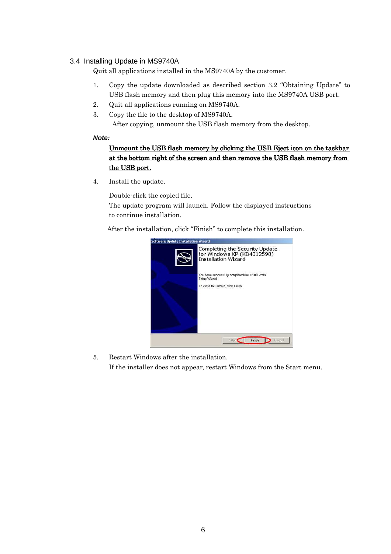### 3.4 Installing Update in MS9740A

Quit all applications installed in the MS9740A by the customer.

- 1. Copy the update downloaded as described section 3.2 "Obtaining Update" to USB flash memory and then plug this memory into the MS9740A USB port.
- 2. Quit all applications running on MS9740A.
- 3. Copy the file to the desktop of MS9740A.

After copying, unmount the USB flash memory from the desktop.

### **Note:**

# Unmount the USB flash memory by clicking the USB Eject icon on the taskbar at the bottom right of the screen and then remove the USB flash memory from the USB port.

4. Install the update.

Double-click the copied file.

The update program will launch. Follow the displayed instructions to continue installation.

After the installation, click "Finish" to complete this installation.



5. Restart Windows after the installation.

If the installer does not appear, restart Windows from the Start menu.